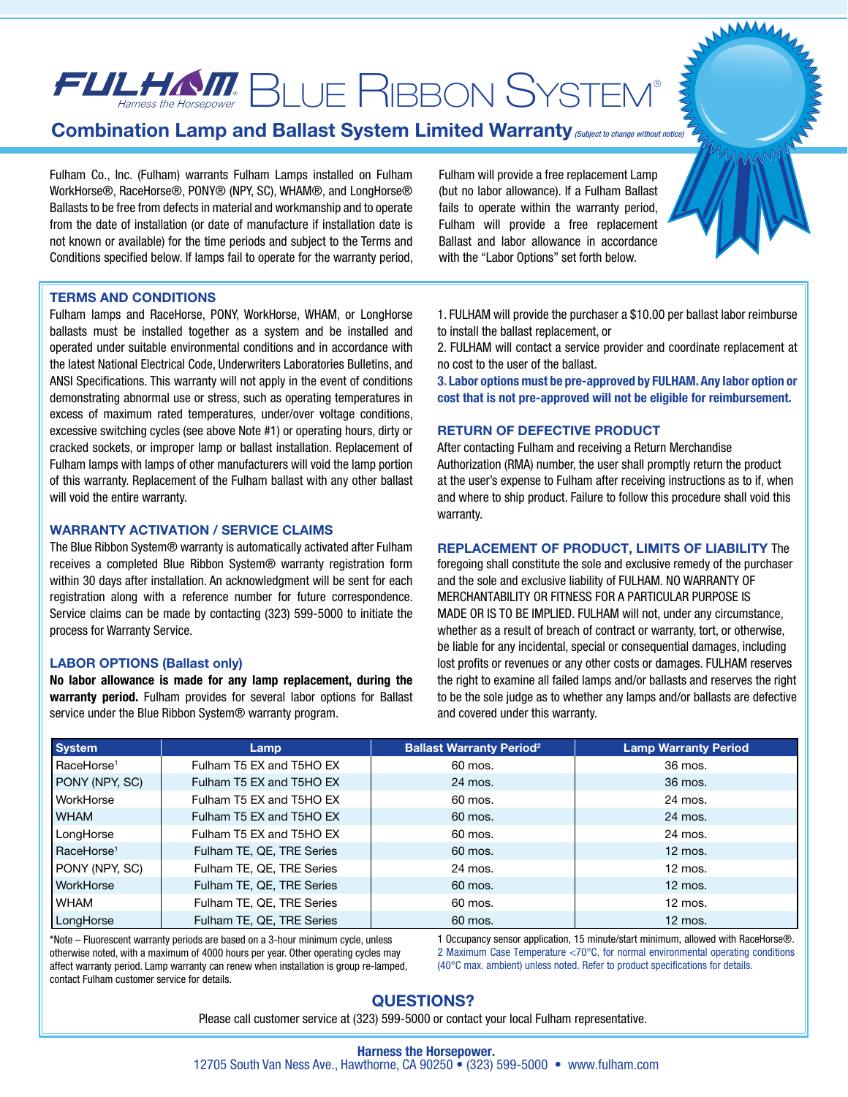# $\bm{F}\bm{U}\bm{L}\bm{H}\bm{M}$  BLUE RIBBON SYSTEM®

## **Combination Lamp and Ballast System Limited Warranty** *(Subject to change without notice)*

Fulham Co., Inc. (Fulham) warrants Fulham Lamps installed on Fulham WorkHorse®, RaceHorse®, PONY® (NPY, SC), WHAM®, and LongHorse® Ballasts to be free from defects in material and workmanship and to operate from the date of installation (or date of manufacture if installation date is not known or available) for the time periods and subject to the Terms and Conditions specified below. If lamps fail to operate for the warranty period, Fulham will provide a free replacement Lamp (but no labor allowance). If a Fulham Ballast fails to operate within the warranty period, Fulham will provide a free replacement Ballast and labor allowance in accordance with the "Labor Options" set forth below.

#### **TERMS AND CONDITIONS**

Fulham lamps and RaceHorse, PONY, WorkHorse, WHAM, or LongHorse ballasts must be installed together as a system and be installed and operated under suitable environmental conditions and in accordance with the latest National Electrical Code, Underwriters Laboratories Bulletins, and ANSI Specifications. This warranty will not apply in the event of conditions demonstrating abnormal use or stress, such as operating temperatures in excess of maximum rated temperatures, under/over voltage conditions, excessive switching cycles (see above Note #1) or operating hours, dirty or cracked sockets, or improper lamp or ballast installation. Replacement of Fulham lamps with lamps of other manufacturers will void the lamp portion of this warranty. Replacement of the Fulham ballast with any other ballast will void the entire warranty.

#### **WARRANTY ACTIVATION / SERVICE CLAIMS**

The Blue Ribbon System® warranty is automatically activated after Fulham receives a completed Blue Ribbon System® warranty registration form within 30 days after installation. An acknowledgment will be sent for each registration along with a reference number for future correspondence. Service claims can be made by contacting (323) 599-5000 to initiate the process for Warranty Service.

### **LABOR OPTIONS (Ballast only)**

**No labor allowance is made for any lamp replacement, during the warranty period.** Fulham provides for several labor options for Ballast service under the Blue Ribbon System® warranty program.

1. FULHAM will provide the purchaser a \$10.00 per ballast labor reimburse to install the ballast replacement, or

2. FULHAM will contact a service provider and coordinate replacement at no cost to the user of the ballast.

**3. Labor options must be pre-approved by FULHAM. Any labor option or cost that is not pre-approved will not be eligible for reimbursement.**

#### **RETURN OF DEFECTIVE PRODUCT**

After contacting Fulham and receiving a Return Merchandise Authorization (RMA) number, the user shall promptly return the product at the user's expense to Fulham after receiving instructions as to if, when and where to ship product. Failure to follow this procedure shall void this warranty.

#### **REPLACEMENT OF PRODUCT, LIMITS OF LIABILITY** The

foregoing shall constitute the sole and exclusive remedy of the purchaser and the sole and exclusive liability of FULHAM. NO WARRANTY OF MERCHANTABILITY OR FITNESS FOR A PARTICULAR PURPOSE IS MADE OR IS TO BE IMPLIED. FULHAM will not, under any circumstance, whether as a result of breach of contract or warranty, tort, or otherwise, be liable for any incidental, special or consequential damages, including lost profits or revenues or any other costs or damages. FULHAM reserves the right to examine all failed lamps and/or ballasts and reserves the right to be the sole judge as to whether any lamps and/or ballasts are defective and covered under this warranty.

| <b>System</b>          | Lamp                      | <b>Ballast Warranty Period</b> <sup>2</sup> | <b>Lamp Warranty Period</b> |
|------------------------|---------------------------|---------------------------------------------|-----------------------------|
| RaceHorse <sup>1</sup> | Fulham T5 EX and T5HO EX  | 60 mos.                                     | 36 mos.                     |
| PONY (NPY, SC)         | Fulham T5 EX and T5HO EX  | 24 mos.                                     | 36 mos.                     |
| WorkHorse              | Fulham T5 EX and T5HO EX  | 60 mos.                                     | 24 mos.                     |
| I WHAM                 | Fulham T5 EX and T5HO EX  | 60 mos.                                     | 24 mos.                     |
| LongHorse              | Fulham T5 EX and T5HO EX  | 60 mos.                                     | 24 mos.                     |
| RaceHorse <sup>1</sup> | Fulham TE, QE, TRE Series | 60 mos.                                     | $12 \text{ mos.}$           |
| PONY (NPY, SC)         | Fulham TE, QE, TRE Series | 24 mos.                                     | $12 \text{ mos.}$           |
| <b>WorkHorse</b>       | Fulham TE, QE, TRE Series | 60 mos.                                     | $12 \text{ mos.}$           |
| l WHAM                 | Fulham TE, QE, TRE Series | 60 mos.                                     | $12 \text{ mos.}$           |
| LongHorse              | Fulham TE, QE, TRE Series | 60 mos.                                     | $12 \text{ mos.}$           |

\*Note – Fluorescent warranty periods are based on a 3-hour minimum cycle, unless otherwise noted, with a maximum of 4000 hours per year. Other operating cycles may affect warranty period. Lamp warranty can renew when installation is group re-lamped, contact Fulham customer service for details.

1 Occupancy sensor application, 15 minute/start minimum, allowed with RaceHorse®. 2 Maximum Case Temperature <70°C, for normal environmental operating conditions (40°C max. ambient) unless noted. Refer to product specifications for details.

### **QUESTIONS?**

Please call customer service at (323) 599-5000 or contact your local Fulham representative.